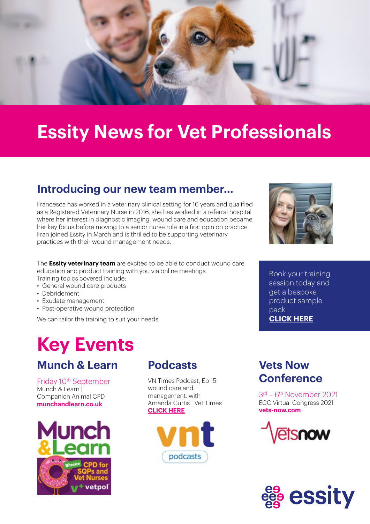

### **Essity News for Vet Professionals**

#### **Introducing our new team member…**

Francesca has worked in a veterinary clinical setting for 16 years and qualified as a Registered Veterinary Nurse in 2016, she has worked in a referral hospital where her interest in diagnostic imaging, wound care and education became her key focus before moving to a senior nurse role in a first opinion practice. Fran joined Essity in March and is thrilled to be supporting veterinary practices with their wound management needs.

The **Essity veterinary team** are excited to be able to conduct wound care education and product training with you via online meetings.

Training topics covered include;

- General wound care products
- Debridement
- Exudate management
- Post-operative wound protection

We can tailor the training to suit your needs

### **Key Events**

#### **Munch & Learn**

Friday 10<sup>th</sup> September Munch & Learn | Companion Animal CPD **[munchandlearn.co.uk](http://www.munchandlearn.co.uk)**



#### **Podcasts Vets Now**

VN Times Podcast, Ep 15: wound care and management, with Amanda Curtis | Vet Times **[CLICK HERE](https://www.vettimes.co.uk/article/vn-times-podcast-ep-15-wound-care-and-management-with-amanda-curtis/)**



### **Conference**

3rd – 6th November 2021 ECC Virtual Congress 2021 **[vets-now.com](http://www.vets-now.com)**







Book your training session today and get a bespoke product sample pack **[CLICK HERE](mailto:animalhealthcare@essity.com)**